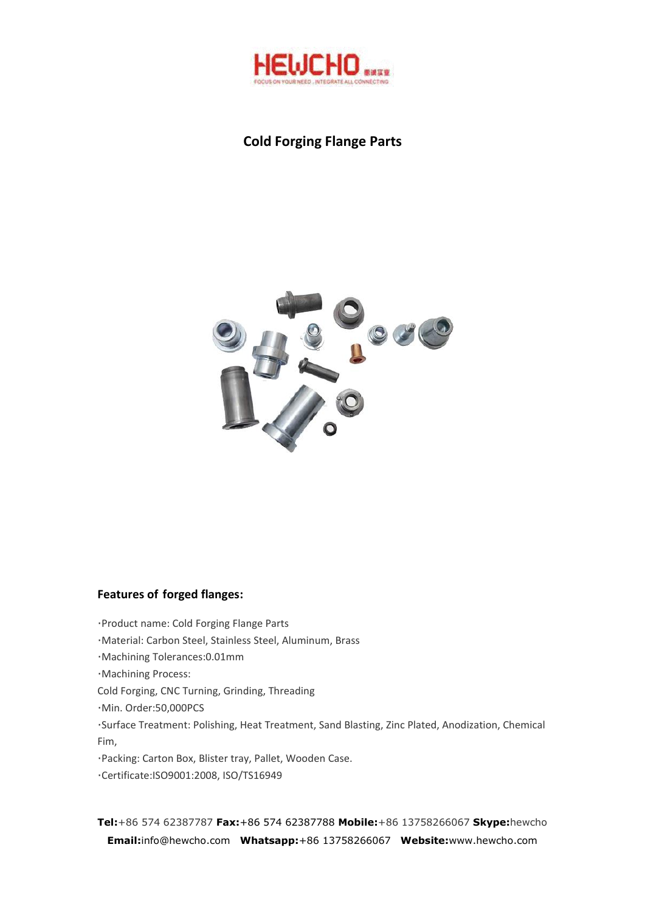

# **Cold Forging Flange Parts**



### **Features of forged flanges:**

·Product name: Cold Forging Flange Parts

·Material: Carbon Steel, Stainless Steel, Aluminum, Brass

·Machining Tolerances:0.01mm

·Machining Process:

Cold Forging, CNC Turning, Grinding, Threading

·Min. Order:50,000PCS

·Surface Treatment: Polishing, Heat Treatment, Sand Blasting, Zinc Plated, Anodization, Chemical Fim,

·Packing: Carton Box, Blister tray, Pallet, Wooden Case.

·Certificate:ISO9001:2008, ISO/TS16949

**Tel:**+86 574 62387787 **Fax:**+86 574 62387788 **Mobile:**+86 13758266067 **Skype:**hewcho **Email:**info@hewcho.com **Whatsapp:**+86 13758266067 **Website:**www.hewcho.com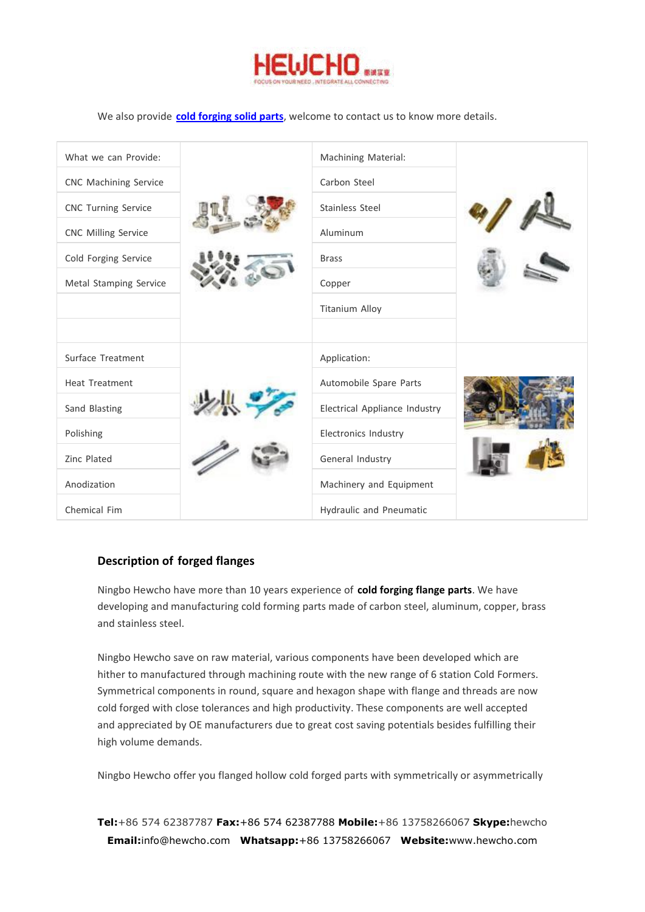

We also provide **cold [forging](http://www.hewcho.com/product/cold-forging-flange-parts.html
) solid parts**, welcome to contact us to know more details.

| What we can Provide:<br><b>CNC Machining Service</b><br><b>CNC Turning Service</b><br><b>CNC Milling Service</b><br>Cold Forging Service<br>Metal Stamping Service | Machining Material:<br>Carbon Steel<br>Stainless Steel<br>Aluminum<br><b>Brass</b><br>Copper<br><b>Titanium Alloy</b> |  |
|--------------------------------------------------------------------------------------------------------------------------------------------------------------------|-----------------------------------------------------------------------------------------------------------------------|--|
|                                                                                                                                                                    |                                                                                                                       |  |
| Surface Treatment                                                                                                                                                  | Application:                                                                                                          |  |
| <b>Heat Treatment</b>                                                                                                                                              | Automobile Spare Parts                                                                                                |  |
| Sand Blasting                                                                                                                                                      | Electrical Appliance Industry                                                                                         |  |
| Polishing                                                                                                                                                          | Electronics Industry                                                                                                  |  |
| Zinc Plated                                                                                                                                                        | General Industry                                                                                                      |  |
| Anodization                                                                                                                                                        | Machinery and Equipment                                                                                               |  |
| Chemical Fim                                                                                                                                                       | Hydraulic and Pneumatic                                                                                               |  |

### **Description of forged flanges**

Ningbo Hewcho have more than 10 years experience of **cold forging flange parts**. We have developing and manufacturing cold forming parts made of carbon steel, aluminum, copper, brass and stainless steel.

Ningbo Hewcho save on raw material, various components have been developed which are hither to manufactured through machining route with the new range of 6 station Cold Formers. Symmetrical components in round, square and hexagon shape with flange and threads are now cold forged with close tolerances and high productivity. These components are well accepted and appreciated by OE manufacturers due to great cost saving potentials besides fulfilling their high volume demands.

Ningbo Hewcho offer you flanged hollow cold forged parts with symmetrically or asymmetrically

**Tel:**+86 574 62387787 **Fax:**+86 574 62387788 **Mobile:**+86 13758266067 **Skype:**hewcho **Email:**info@hewcho.com **Whatsapp:**+86 13758266067 **Website:**www.hewcho.com